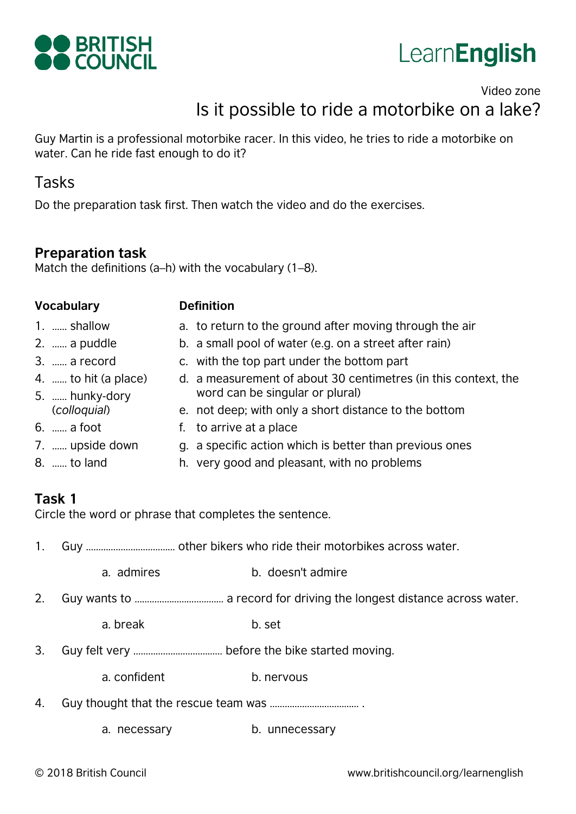



# Video zone Is it possible to ride a motorbike on a lake?

Guy Martin is a professional motorbike racer. In this video, he tries to ride a motorbike on water. Can he ride fast enough to do it?

## Tasks

Do the preparation task first. Then watch the video and do the exercises.

#### **Preparation task**

Match the definitions (a–h) with the vocabulary (1–8).

#### **Vocabulary Definition**

- 1. …… shallow
- 2. …… a puddle
- 3. …… a record
- 4. …… to hit (a place)
- 5. …… hunky-dory (*colloquial*)
- 6. …… a foot
- 7. …… upside down
- 8. …… to land
- a. to return to the ground after moving through the air
- b. a small pool of water (e.g. on a street after rain)
- c. with the top part under the bottom part
- d. a measurement of about 30 centimetres (in this context, the word can be singular or plural)
- e. not deep; with only a short distance to the bottom
- f. to arrive at a place
- g. a specific action which is better than previous ones
- h. very good and pleasant, with no problems

## **Task 1**

Circle the word or phrase that completes the sentence.

- 1. Guy ……………………………… other bikers who ride their motorbikes across water.
	- a. admires b. doesn't admire
- 2. Guy wants to ……………………………… a record for driving the longest distance across water.
	- a. break b. set
- 3. Guy felt very ……………………………… before the bike started moving.
	- a. confident b. nervous
- 4. Guy thought that the rescue team was ……………………………… .
	- a. necessary b. unnecessary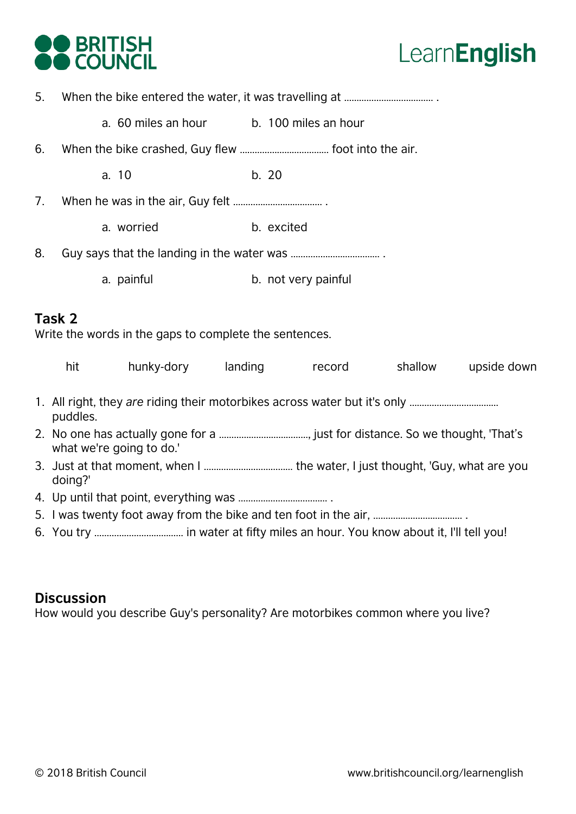



5. When the bike entered the water, it was travelling at ……………………………… .

a. 60 miles an hour b. 100 miles an hour

- 6. When the bike crashed, Guy flew ……………………………… foot into the air.
	- a. 10 b. 20
- 7. When he was in the air, Guy felt ……………………………… .
	- a. worried b. excited
- 8. Guy says that the landing in the water was ..................................
	- a. painful b. not very painful

#### **Task 2**

Write the words in the gaps to complete the sentences.

| hit                                                              | hunky-dory | landing | record | shallow | upside down |
|------------------------------------------------------------------|------------|---------|--------|---------|-------------|
| puddles.                                                         |            |         |        |         |             |
| what we're going to do.'                                         |            |         |        |         |             |
| doing?'                                                          |            |         |        |         |             |
|                                                                  |            |         |        |         |             |
| 5. I was twenty foot away from the bike and ten foot in the air, |            |         |        |         |             |
|                                                                  |            |         |        |         |             |

#### **Discussion**

How would you describe Guy's personality? Are motorbikes common where you live?